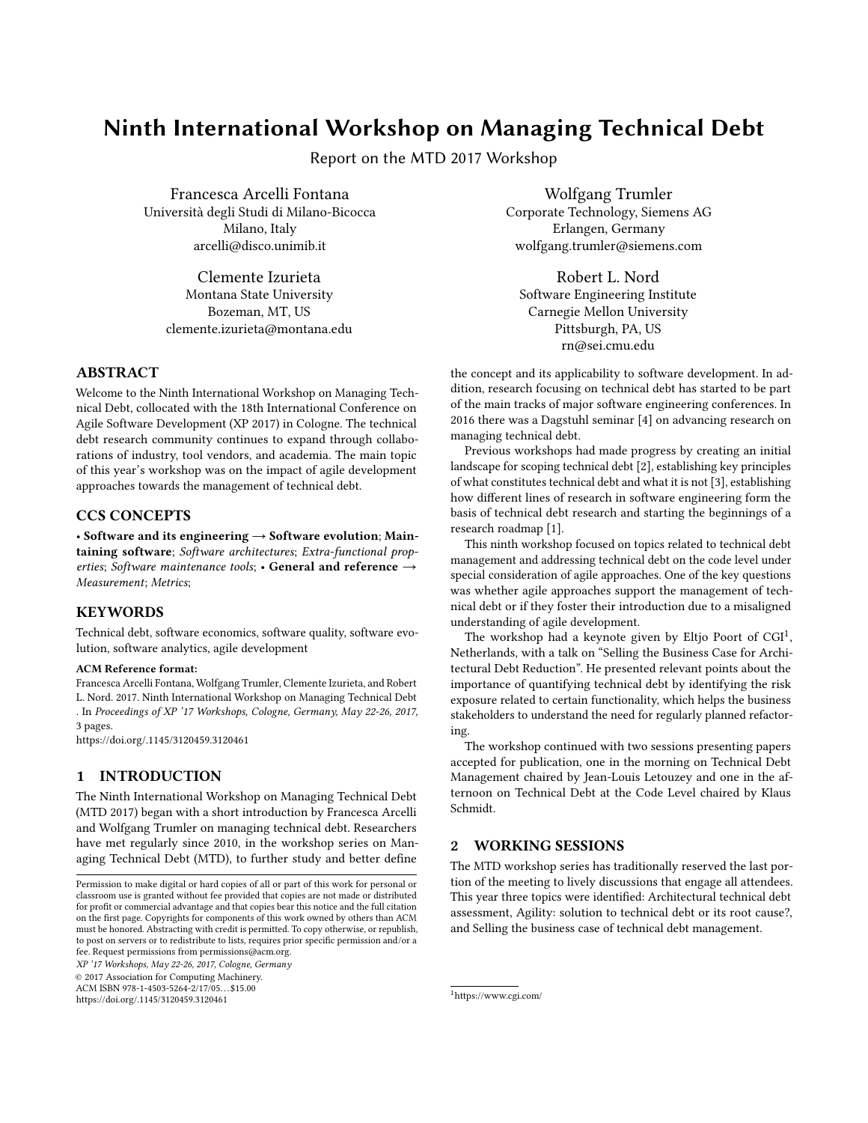# Ninth International Workshop on Managing Technical Debt

Report on the MTD 2017 Workshop

Francesca Arcelli Fontana Università degli Studi di Milano-Bicocca Milano, Italy arcelli@disco.unimib.it

Clemente Izurieta Montana State University Bozeman, MT, US clemente.izurieta@montana.edu

## ABSTRACT

Welcome to the Ninth International Workshop on Managing Technical Debt, collocated with the 18th International Conference on Agile Software Development (XP 2017) in Cologne. The technical debt research community continues to expand through collaborations of industry, tool vendors, and academia. The main topic of this year's workshop was on the impact of agile development approaches towards the management of technical debt.

#### CCS CONCEPTS

• Software and its engineering  $\rightarrow$  Software evolution; Maintaining software; Software architectures; Extra-functional properties; Software maintenance tools; • General and reference  $\rightarrow$ Measurement; Metrics;

## **KEYWORDS**

Technical debt, software economics, software quality, software evolution, software analytics, agile development

#### ACM Reference format:

Francesca Arcelli Fontana, Wolfgang Trumler, Clemente Izurieta, and Robert L. Nord. 2017. Ninth International Workshop on Managing Technical Debt . In Proceedings of XP '17 Workshops, Cologne, Germany, May 22-26, 2017, [3](#page-2-0) pages.

<https://doi.org/.1145/3120459.3120461>

# 1 INTRODUCTION

The Ninth International Workshop on Managing Technical Debt (MTD 2017) began with a short introduction by Francesca Arcelli and Wolfgang Trumler on managing technical debt. Researchers have met regularly since 2010, in the workshop series on Managing Technical Debt (MTD), to further study and better define

XP '17 Workshops, May 22-26, 2017, Cologne, Germany © 2017 Association for Computing Machinery.

ACM ISBN 978-1-4503-5264-2/17/05. . . \$15.00

<https://doi.org/.1145/3120459.3120461>

Wolfgang Trumler Corporate Technology, Siemens AG Erlangen, Germany wolfgang.trumler@siemens.com

Robert L. Nord Software Engineering Institute Carnegie Mellon University Pittsburgh, PA, US rn@sei.cmu.edu

the concept and its applicability to software development. In addition, research focusing on technical debt has started to be part of the main tracks of major software engineering conferences. In 2016 there was a Dagstuhl seminar [\[4\]](#page-2-1) on advancing research on managing technical debt.

Previous workshops had made progress by creating an initial landscape for scoping technical debt [\[2\]](#page-2-2), establishing key principles of what constitutes technical debt and what it is not [\[3\]](#page-2-3), establishing how different lines of research in software engineering form the basis of technical debt research and starting the beginnings of a research roadmap [\[1\]](#page-2-4).

This ninth workshop focused on topics related to technical debt management and addressing technical debt on the code level under special consideration of agile approaches. One of the key questions was whether agile approaches support the management of technical debt or if they foster their introduction due to a misaligned understanding of agile development.

The workshop had a keynote given by Eltjo Poort of  $CGI^1$  $CGI^1$ , Netherlands, with a talk on "Selling the Business Case for Architectural Debt Reduction". He presented relevant points about the importance of quantifying technical debt by identifying the risk exposure related to certain functionality, which helps the business stakeholders to understand the need for regularly planned refactoring.

The workshop continued with two sessions presenting papers accepted for publication, one in the morning on Technical Debt Management chaired by Jean-Louis Letouzey and one in the afternoon on Technical Debt at the Code Level chaired by Klaus Schmidt.

#### 2 WORKING SESSIONS

The MTD workshop series has traditionally reserved the last portion of the meeting to lively discussions that engage all attendees. This year three topics were identified: Architectural technical debt assessment, Agility: solution to technical debt or its root cause?, and Selling the business case of technical debt management.

<span id="page-0-0"></span><sup>1</sup>https://www.cgi.com/

Permission to make digital or hard copies of all or part of this work for personal or classroom use is granted without fee provided that copies are not made or distributed for profit or commercial advantage and that copies bear this notice and the full citation on the first page. Copyrights for components of this work owned by others than ACM must be honored. Abstracting with credit is permitted. To copy otherwise, or republish, to post on servers or to redistribute to lists, requires prior specific permission and/or a fee. Request permissions from permissions@acm.org.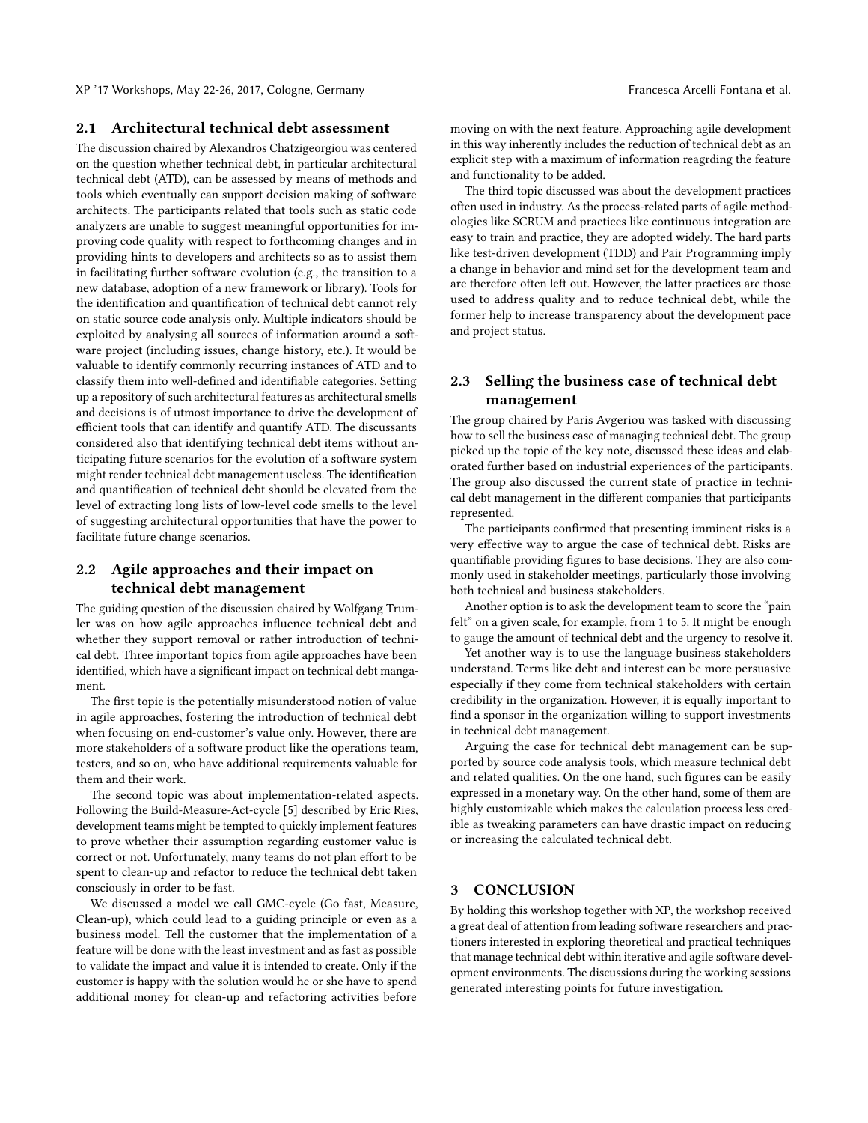### 2.1 Architectural technical debt assessment

The discussion chaired by Alexandros Chatzigeorgiou was centered on the question whether technical debt, in particular architectural technical debt (ATD), can be assessed by means of methods and tools which eventually can support decision making of software architects. The participants related that tools such as static code analyzers are unable to suggest meaningful opportunities for improving code quality with respect to forthcoming changes and in providing hints to developers and architects so as to assist them in facilitating further software evolution (e.g., the transition to a new database, adoption of a new framework or library). Tools for the identification and quantification of technical debt cannot rely on static source code analysis only. Multiple indicators should be exploited by analysing all sources of information around a software project (including issues, change history, etc.). It would be valuable to identify commonly recurring instances of ATD and to classify them into well-defined and identifiable categories. Setting up a repository of such architectural features as architectural smells and decisions is of utmost importance to drive the development of efficient tools that can identify and quantify ATD. The discussants considered also that identifying technical debt items without anticipating future scenarios for the evolution of a software system might render technical debt management useless. The identification and quantification of technical debt should be elevated from the level of extracting long lists of low-level code smells to the level of suggesting architectural opportunities that have the power to facilitate future change scenarios.

# 2.2 Agile approaches and their impact on technical debt management

The guiding question of the discussion chaired by Wolfgang Trumler was on how agile approaches influence technical debt and whether they support removal or rather introduction of technical debt. Three important topics from agile approaches have been identified, which have a significant impact on technical debt mangament.

The first topic is the potentially misunderstood notion of value in agile approaches, fostering the introduction of technical debt when focusing on end-customer's value only. However, there are more stakeholders of a software product like the operations team, testers, and so on, who have additional requirements valuable for them and their work.

The second topic was about implementation-related aspects. Following the Build-Measure-Act-cycle [\[5\]](#page-2-5) described by Eric Ries, development teams might be tempted to quickly implement features to prove whether their assumption regarding customer value is correct or not. Unfortunately, many teams do not plan effort to be spent to clean-up and refactor to reduce the technical debt taken consciously in order to be fast.

We discussed a model we call GMC-cycle (Go fast, Measure, Clean-up), which could lead to a guiding principle or even as a business model. Tell the customer that the implementation of a feature will be done with the least investment and as fast as possible to validate the impact and value it is intended to create. Only if the customer is happy with the solution would he or she have to spend additional money for clean-up and refactoring activities before

moving on with the next feature. Approaching agile development in this way inherently includes the reduction of technical debt as an explicit step with a maximum of information reagrding the feature and functionality to be added.

The third topic discussed was about the development practices often used in industry. As the process-related parts of agile methodologies like SCRUM and practices like continuous integration are easy to train and practice, they are adopted widely. The hard parts like test-driven development (TDD) and Pair Programming imply a change in behavior and mind set for the development team and are therefore often left out. However, the latter practices are those used to address quality and to reduce technical debt, while the former help to increase transparency about the development pace and project status.

# 2.3 Selling the business case of technical debt management

The group chaired by Paris Avgeriou was tasked with discussing how to sell the business case of managing technical debt. The group picked up the topic of the key note, discussed these ideas and elaborated further based on industrial experiences of the participants. The group also discussed the current state of practice in technical debt management in the different companies that participants represented.

The participants confirmed that presenting imminent risks is a very effective way to argue the case of technical debt. Risks are quantifiable providing figures to base decisions. They are also commonly used in stakeholder meetings, particularly those involving both technical and business stakeholders.

Another option is to ask the development team to score the "pain felt" on a given scale, for example, from 1 to 5. It might be enough to gauge the amount of technical debt and the urgency to resolve it.

Yet another way is to use the language business stakeholders understand. Terms like debt and interest can be more persuasive especially if they come from technical stakeholders with certain credibility in the organization. However, it is equally important to find a sponsor in the organization willing to support investments in technical debt management.

Arguing the case for technical debt management can be supported by source code analysis tools, which measure technical debt and related qualities. On the one hand, such figures can be easily expressed in a monetary way. On the other hand, some of them are highly customizable which makes the calculation process less credible as tweaking parameters can have drastic impact on reducing or increasing the calculated technical debt.

### 3 CONCLUSION

By holding this workshop together with XP, the workshop received a great deal of attention from leading software researchers and practioners interested in exploring theoretical and practical techniques that manage technical debt within iterative and agile software development environments. The discussions during the working sessions generated interesting points for future investigation.